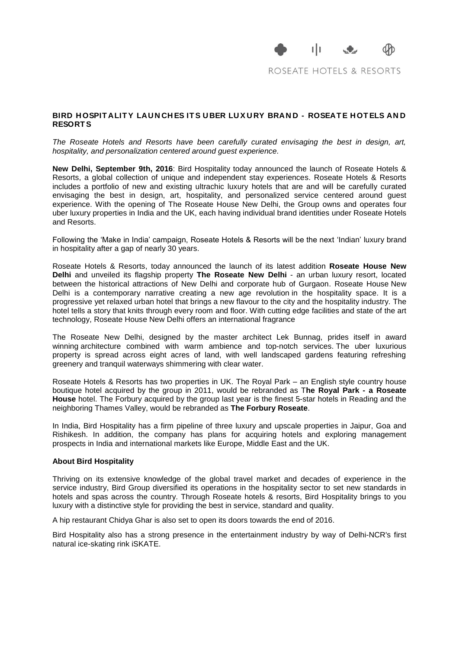

ROSEATE HOTELS & RESORTS

## **BIRD H OSPIT ALIT Y LAU N CH ES IT S U BER LU X U RY BRAN D - ROSEAT E H OT ELS AN D RESORT S**

*The Roseate Hotels and Resorts have been carefully curated envisaging the best in design, art, hospitality, and personalization centered around guest experience.*

**New Delhi, September 9th, 2016**: Bird Hospitality today announced the launch of Roseate Hotels & Resorts, a global collection of unique and independent stay experiences. Roseate Hotels & Resorts includes a portfolio of new and existing ultrachic luxury hotels that are and will be carefully curated envisaging the best in design, art, hospitality, and personalized service centered around guest experience. With the opening of The Roseate House New Delhi, the Group owns and operates four uber luxury properties in India and the UK, each having individual brand identities under Roseate Hotels and Resorts.

Following the 'Make in India' campaign, Roseate Hotels & Resorts will be the next 'Indian' luxury brand in hospitality after a gap of nearly 30 years.

Roseate Hotels & Resorts, today announced the launch of its latest addition **Roseate House New Delhi** and unveiled its flagship property **The Roseate New Delhi** - an urban luxury resort, located between the historical attractions of New Delhi and corporate hub of Gurgaon. Roseate House New Delhi is a contemporary narrative creating a new age revolution in the hospitality space. It is a progressive yet relaxed urban hotel that brings a new flavour to the city and the hospitality industry. The hotel tells a story that knits through every room and floor. With cutting edge facilities and state of the art technology, Roseate House New Delhi offers an international fragrance

The Roseate New Delhi, designed by the master architect Lek Bunnag, prides itself in award winning architecture combined with warm ambience and top-notch services. The uber luxurious property is spread across eight acres of land, with well landscaped gardens featuring refreshing greenery and tranquil waterways shimmering with clear water.

Roseate Hotels & Resorts has two properties in UK. The Royal Park – an English style country house boutique hotel acquired by the group in 2011, would be rebranded as T**he Royal Park - a Roseate House** hotel. The Forbury acquired by the group last year is the finest 5-star hotels in Reading and the neighboring Thames Valley, would be rebranded as **The Forbury Roseate**.

In India, Bird Hospitality has a firm pipeline of three luxury and upscale properties in Jaipur, Goa and Rishikesh. In addition, the company has plans for acquiring hotels and exploring management prospects in India and international markets like Europe, Middle East and the UK.

## **About Bird Hospitality**

Thriving on its extensive knowledge of the global travel market and decades of experience in the service industry, Bird Group diversified its operations in the hospitality sector to set new standards in hotels and spas across the country. Through Roseate hotels & resorts, Bird Hospitality brings to you luxury with a distinctive style for providing the best in service, standard and quality.

A hip restaurant Chidya Ghar is also set to open its doors towards the end of 2016.

Bird Hospitality also has a strong presence in the entertainment industry by way of Delhi-NCR's first natural ice-skating rink iSKATE.